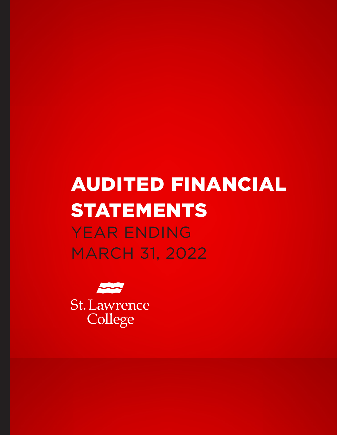# AUDITED FINANCIAL STATEMENTS YEAR ENDING MARCH 31, 2022

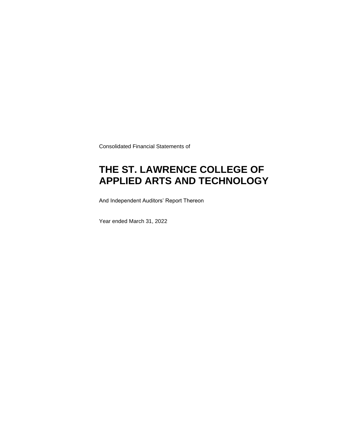Consolidated Financial Statements of

### **THE ST. LAWRENCE COLLEGE OF APPLIED ARTS AND TECHNOLOGY**

And Independent Auditors' Report Thereon

Year ended March 31, 2022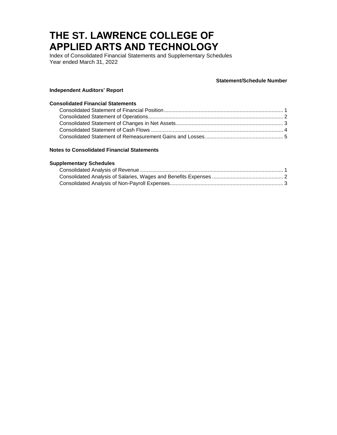Index of Consolidated Financial Statements and Supplementary Schedules Year ended March 31, 2022

#### **Statement/Schedule Number**

#### **Independent Auditors' Report**

#### **Consolidated Financial Statements**

#### **Notes to Consolidated Financial Statements**

#### **Supplementary Schedules**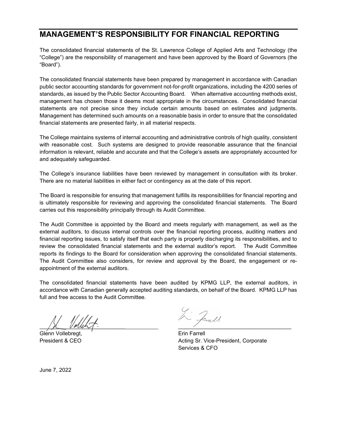### **MANAGEMENT'S RESPONSIBILITY FOR FINANCIAL REPORTING**

The consolidated financial statements of the St. Lawrence College of Applied Arts and Technology (the "College") are the responsibility of management and have been approved by the Board of Governors (the "Board").

The consolidated financial statements have been prepared by management in accordance with Canadian public sector accounting standards for government not-for-profit organizations, including the 4200 series of standards, as issued by the Public Sector Accounting Board. When alternative accounting methods exist, management has chosen those it deems most appropriate in the circumstances. Consolidated financial statements are not precise since they include certain amounts based on estimates and judgments. Management has determined such amounts on a reasonable basis in order to ensure that the consolidated financial statements are presented fairly, in all material respects.

The College maintains systems of internal accounting and administrative controls of high quality, consistent with reasonable cost. Such systems are designed to provide reasonable assurance that the financial information is relevant, reliable and accurate and that the College's assets are appropriately accounted for and adequately safeguarded.

The College's insurance liabilities have been reviewed by management in consultation with its broker. There are no material liabilities in either fact or contingency as at the date of this report.

The Board is responsible for ensuring that management fulfills its responsibilities for financial reporting and is ultimately responsible for reviewing and approving the consolidated financial statements. The Board carries out this responsibility principally through its Audit Committee.

The Audit Committee is appointed by the Board and meets regularly with management, as well as the external auditors, to discuss internal controls over the financial reporting process, auditing matters and financial reporting issues, to satisfy itself that each party is properly discharging its responsibilities, and to review the consolidated financial statements and the external auditor's report. The Audit Committee reports its findings to the Board for consideration when approving the consolidated financial statements. The Audit Committee also considers, for review and approval by the Board, the engagement or reappointment of the external auditors.

The consolidated financial statements have been audited by KPMG LLP, the external auditors, in accordance with Canadian generally accepted auditing standards, on behalf of the Board. KPMG LLP has full and free access to the Audit Committee.

 $\mathcal{L}$  volume  $\mathcal{L}$  . The contract of the contract of the contract of the contract of the contract of the contract of the contract of the contract of the contract of the contract of the contract of the contract of th

Glenn Vollebregt,  $\overline{ }$   $\overline{ }$   $\overline{ }$   $\overline{ }$   $\overline{ }$   $\overline{ }$   $\overline{ }$   $\overline{ }$   $\overline{ }$   $\overline{ }$   $\overline{ }$   $\overline{ }$   $\overline{ }$   $\overline{ }$   $\overline{ }$   $\overline{ }$   $\overline{ }$   $\overline{ }$   $\overline{ }$   $\overline{ }$   $\overline{ }$   $\overline{ }$   $\overline{ }$   $\overline{ }$   $\overline{ }$   $\overline$ 

2 Janell

President & CEO **Acting Sr. Vice-President, Corporate** Services & CFO

June 7, 2022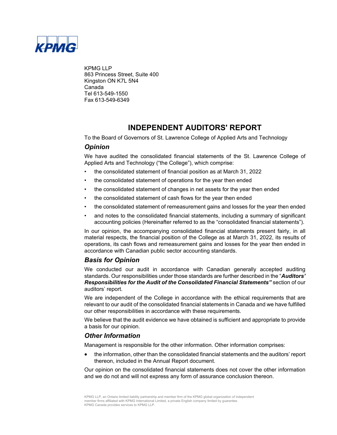

KPMG LLP 863 Princess Street, Suite 400 Kingston ON K7L 5N4 Canada Tel 613-549-1550 Fax 613-549-6349

### **INDEPENDENT AUDITORS' REPORT**

To the Board of Governors of St. Lawrence College of Applied Arts and Technology

#### *Opinion*

We have audited the consolidated financial statements of the St. Lawrence College of Applied Arts and Technology ("the College"), which comprise:

- the consolidated statement of financial position as at March 31, 2022
- the consolidated statement of operations for the year then ended
- the consolidated statement of changes in net assets for the year then ended
- the consolidated statement of cash flows for the year then ended
- the consolidated statement of remeasurement gains and losses for the year then ended
- and notes to the consolidated financial statements, including a summary of significant accounting policies (Hereinafter referred to as the "consolidated financial statements").

In our opinion, the accompanying consolidated financial statements present fairly, in all material respects, the financial position of the College as at March 31, 2022, its results of operations, its cash flows and remeasurement gains and losses for the year then ended in accordance with Canadian public sector accounting standards.

#### *Basis for Opinion*

We conducted our audit in accordance with Canadian generally accepted auditing standards. Our responsibilities under those standards are further described in the "*Auditors' Responsibilities for the Audit of the Consolidated Financial Statements"* section of our auditors' report.

We are independent of the College in accordance with the ethical requirements that are relevant to our audit of the consolidated financial statements in Canada and we have fulfilled our other responsibilities in accordance with these requirements.

We believe that the audit evidence we have obtained is sufficient and appropriate to provide a basis for our opinion.

#### *Other Information*

Management is responsible for the other information. Other information comprises:

 the information, other than the consolidated financial statements and the auditors' report thereon, included in the Annual Report document.

Our opinion on the consolidated financial statements does not cover the other information and we do not and will not express any form of assurance conclusion thereon.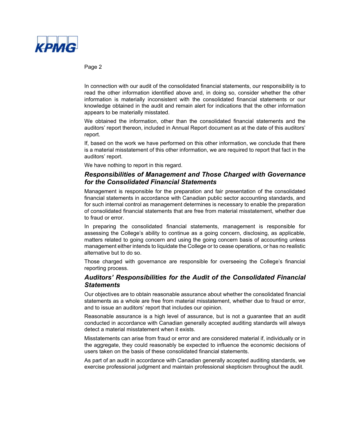

Page 2

In connection with our audit of the consolidated financial statements, our responsibility is to read the other information identified above and, in doing so, consider whether the other information is materially inconsistent with the consolidated financial statements or our knowledge obtained in the audit and remain alert for indications that the other information appears to be materially misstated.

We obtained the information, other than the consolidated financial statements and the auditors' report thereon, included in Annual Report document as at the date of this auditors' report.

If, based on the work we have performed on this other information, we conclude that there is a material misstatement of this other information, we are required to report that fact in the auditors' report.

We have nothing to report in this regard.

#### *Responsibilities of Management and Those Charged with Governance for the Consolidated Financial Statements*

Management is responsible for the preparation and fair presentation of the consolidated financial statements in accordance with Canadian public sector accounting standards, and for such internal control as management determines is necessary to enable the preparation of consolidated financial statements that are free from material misstatement, whether due to fraud or error.

In preparing the consolidated financial statements, management is responsible for assessing the College's ability to continue as a going concern, disclosing, as applicable, matters related to going concern and using the going concern basis of accounting unless management either intends to liquidate the College or to cease operations, or has no realistic alternative but to do so.

Those charged with governance are responsible for overseeing the College's financial reporting process.

#### *Auditors' Responsibilities for the Audit of the Consolidated Financial Statements*

Our objectives are to obtain reasonable assurance about whether the consolidated financial statements as a whole are free from material misstatement, whether due to fraud or error, and to issue an auditors' report that includes our opinion.

Reasonable assurance is a high level of assurance, but is not a guarantee that an audit conducted in accordance with Canadian generally accepted auditing standards will always detect a material misstatement when it exists.

Misstatements can arise from fraud or error and are considered material if, individually or in the aggregate, they could reasonably be expected to influence the economic decisions of users taken on the basis of these consolidated financial statements.

As part of an audit in accordance with Canadian generally accepted auditing standards, we exercise professional judgment and maintain professional skepticism throughout the audit.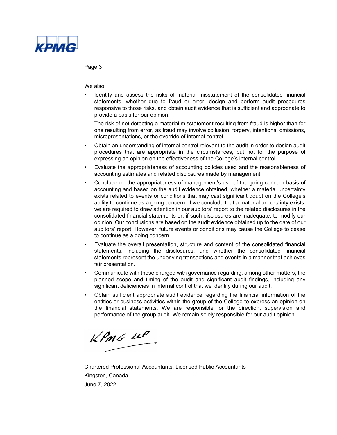

Page 3

We also:

• Identify and assess the risks of material misstatement of the consolidated financial statements, whether due to fraud or error, design and perform audit procedures responsive to those risks, and obtain audit evidence that is sufficient and appropriate to provide a basis for our opinion.

The risk of not detecting a material misstatement resulting from fraud is higher than for one resulting from error, as fraud may involve collusion, forgery, intentional omissions, misrepresentations, or the override of internal control.

- Obtain an understanding of internal control relevant to the audit in order to design audit procedures that are appropriate in the circumstances, but not for the purpose of expressing an opinion on the effectiveness of the College's internal control.
- Evaluate the appropriateness of accounting policies used and the reasonableness of accounting estimates and related disclosures made by management.
- Conclude on the appropriateness of management's use of the going concern basis of accounting and based on the audit evidence obtained, whether a material uncertainty exists related to events or conditions that may cast significant doubt on the College's ability to continue as a going concern. If we conclude that a material uncertainty exists, we are required to draw attention in our auditors' report to the related disclosures in the consolidated financial statements or, if such disclosures are inadequate, to modify our opinion. Our conclusions are based on the audit evidence obtained up to the date of our auditors' report. However, future events or conditions may cause the College to cease to continue as a going concern.
- Evaluate the overall presentation, structure and content of the consolidated financial statements, including the disclosures, and whether the consolidated financial statements represent the underlying transactions and events in a manner that achieves fair presentation.
- Communicate with those charged with governance regarding, among other matters, the planned scope and timing of the audit and significant audit findings, including any significant deficiencies in internal control that we identify during our audit.
- Obtain sufficient appropriate audit evidence regarding the financial information of the entities or business activities within the group of the College to express an opinion on the financial statements. We are responsible for the direction, supervision and performance of the group audit. We remain solely responsible for our audit opinion.

 $KPMG$  11P

Chartered Professional Accountants, Licensed Public Accountants Kingston, Canada June 7, 2022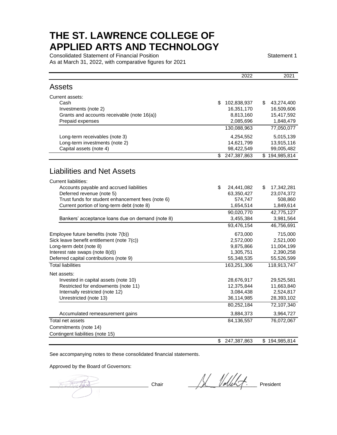Consolidated Statement of Financial Position Statement 1 Statement 1 As at March 31, 2022, with comparative figures for 2021

|                                                   | 2022              | 2021             |
|---------------------------------------------------|-------------------|------------------|
| <b>Assets</b>                                     |                   |                  |
| Current assets:                                   |                   |                  |
| Cash                                              | \$<br>102,838,937 | \$<br>43,274,400 |
| Investments (note 2)                              | 16,351,170        | 16,509,606       |
| Grants and accounts receivable (note 16(a))       | 8,813,160         | 15,417,592       |
| Prepaid expenses                                  | 2,085,696         | 1,848,479        |
|                                                   | 130,088,963       | 77,050,077       |
| Long-term receivables (note 3)                    | 4,254,552         | 5,015,139        |
| Long-term investments (note 2)                    | 14,621,799        | 13,915,116       |
| Capital assets (note 4)                           | 98,422,549        | 99,005,482       |
|                                                   | \$<br>247,387,863 | \$194,985,814    |
| <b>Liabilities and Net Assets</b>                 |                   |                  |
| <b>Current liabilities:</b>                       |                   |                  |
| Accounts payable and accrued liabilities          | \$<br>24,441,082  | \$<br>17,342,281 |
| Deferred revenue (note 5)                         | 63,350,427        | 23,074,372       |
| Trust funds for student enhancement fees (note 6) | 574,747           | 508,860          |
| Current portion of long-term debt (note 8)        | 1,654,514         | 1,849,614        |
|                                                   | 90,020,770        | 42,775,127       |
| Bankers' acceptance loans due on demand (note 8)  | 3,455,384         | 3,981,564        |
|                                                   | 93,476,154        | 46,756,691       |
| Employee future benefits (note 7(b))              | 673,000           | 715,000          |
| Sick leave benefit entitlement (note 7(c))        | 2,572,000         | 2,521,000        |
| Long-term debt (note 8)                           | 9,875,866         | 11,004,199       |
| Interest rate swaps (note 8(d))                   | 1,305,751         | 2,390,258        |
| Deferred capital contributions (note 9)           | 55,348,535        | 55,526,599       |
| <b>Total liabilities</b>                          | 163,251,306       | 118,913,747      |
| Net assets:                                       |                   |                  |
| Invested in capital assets (note 10)              | 28,676,917        | 29,525,581       |
| Restricted for endowments (note 11)               | 12,375,844        | 11,663,840       |
| Internally restricted (note 12)                   | 3,084,438         | 2,524,817        |
| Unrestricted (note 13)                            | 36,114,985        | 28,393,102       |
|                                                   | 80,252,184        | 72,107,340       |
| Accumulated remeasurement gains                   | 3,884,373         | 3,964,727        |
| Total net assets                                  | 84,136,557        | 76,072,067       |
| Commitments (note 14)                             |                   |                  |
| Contingent liabilities (note 15)                  |                   |                  |
|                                                   | \$<br>247,387,863 | \$194,985,814    |

See accompanying notes to these consolidated financial statements.

Approved by the Board of Governors:

Chair Albert Vollekt President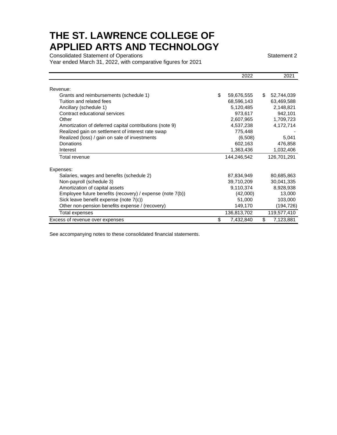Consolidated Statement of Operations Statement 2

Year ended March 31, 2022, with comparative figures for 2021

|                                                           |    | 2022        | 2021             |
|-----------------------------------------------------------|----|-------------|------------------|
| Revenue:                                                  |    |             |                  |
| Grants and reimbursements (schedule 1)                    | \$ | 59,676,555  | \$<br>52,744,039 |
| Tuition and related fees                                  |    | 68,596,143  | 63,469,588       |
| Ancillary (schedule 1)                                    |    | 5,120,485   | 2,148,821        |
| Contract educational services                             |    | 973,617     | 942,101          |
| Other                                                     |    | 2,607,965   | 1,709,723        |
| Amortization of deferred capital contributions (note 9)   |    | 4,537,238   | 4,172,714        |
| Realized gain on settlement of interest rate swap         |    | 775,448     |                  |
| Realized (loss) / gain on sale of investments             |    | (6,508)     | 5,041            |
| Donations                                                 |    | 602,163     | 476,858          |
| Interest                                                  |    | 1,363,436   | 1,032,406        |
| Total revenue                                             |    | 144,246,542 | 126,701,291      |
| Expenses:                                                 |    |             |                  |
| Salaries, wages and benefits (schedule 2)                 |    | 87,834,949  | 80,685,863       |
| Non-payroll (schedule 3)                                  |    | 39,710,209  | 30,041,335       |
| Amortization of capital assets                            |    | 9,110,374   | 8,928,938        |
| Employee future benefits (recovery) / expense (note 7(b)) |    | (42,000)    | 13,000           |
| Sick leave benefit expense (note 7(c))                    |    | 51,000      | 103,000          |
| Other non-pension benefits expense / (recovery)           |    | 149,170     | (194, 726)       |
| Total expenses                                            |    | 136,813,702 | 119,577,410      |
| Excess of revenue over expenses                           | S  | 7,432,840   | \$<br>7,123,881  |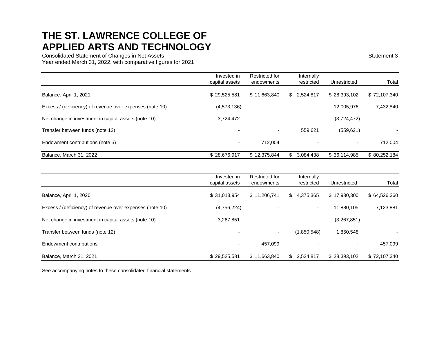Consolidated Statement of Changes in Net Assets Statement 3

Year ended March 31, 2022, with comparative figures for 2021

|                                                          | Invested in<br>capital assets | Restricted for<br>endowments | Internally<br>restricted | Unrestricted | Total        |
|----------------------------------------------------------|-------------------------------|------------------------------|--------------------------|--------------|--------------|
| Balance, April 1, 2021                                   | \$29,525,581                  | \$11,663,840                 | \$2,524,817              | \$28,393,102 | \$72,107,340 |
| Excess / (deficiency) of revenue over expenses (note 10) | (4,573,136)                   |                              | $\sim$                   | 12,005,976   | 7,432,840    |
| Net change in investment in capital assets (note 10)     | 3,724,472                     | $\overline{\phantom{0}}$     | $\sim$                   | (3,724,472)  |              |
| Transfer between funds (note 12)                         |                               | $\overline{\phantom{0}}$     | 559.621                  | (559, 621)   |              |
| Endowment contributions (note 5)                         | $\overline{\phantom{0}}$      | 712.004                      |                          | ۰.           | 712,004      |
| Balance, March 31, 2022                                  | \$28,676,917                  | \$12,375,844                 | 3.084.438<br>\$          | \$36,114,985 | \$80,252,184 |

|                                                          | Invested in<br>capital assets | Restricted for<br>endowments | Internally<br>restricted | Unrestricted | Total        |
|----------------------------------------------------------|-------------------------------|------------------------------|--------------------------|--------------|--------------|
| Balance, April 1, 2020                                   | \$31,013,954                  | \$11,206,741                 | \$4,375,365              | \$17,930,300 | \$64,526,360 |
| Excess / (deficiency) of revenue over expenses (note 10) | (4,756,224)                   |                              |                          | 11,880,105   | 7,123,881    |
| Net change in investment in capital assets (note 10)     | 3,267,851                     |                              | $\overline{\phantom{a}}$ | (3,267,851)  |              |
| Transfer between funds (note 12)                         |                               | $\overline{\phantom{a}}$     | (1,850,548)              | 1,850,548    |              |
| Endowment contributions                                  |                               | 457,099                      |                          |              | 457,099      |
| Balance, March 31, 2021                                  | \$29,525,581                  | \$11,663,840                 | \$2,524,817              | \$28,393,102 | \$72,107,340 |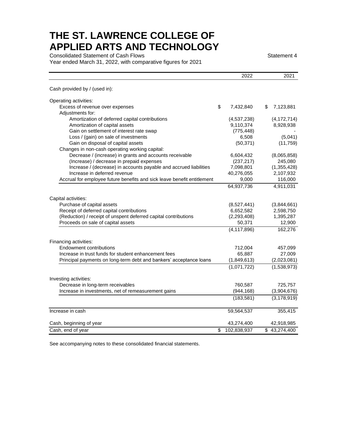Consolidated Statement of Cash Flows Statement 4

Year ended March 31, 2022, with comparative figures for 2021

|                                                                         |                          | 2022          | 2021                    |
|-------------------------------------------------------------------------|--------------------------|---------------|-------------------------|
| Cash provided by / (used in):                                           |                          |               |                         |
| Operating activities:                                                   |                          |               |                         |
| Excess of revenue over expenses                                         | \$                       | 7,432,840     | \$<br>7,123,881         |
| Adjustments for:                                                        |                          |               |                         |
| Amortization of deferred capital contributions                          |                          | (4,537,238)   | (4, 172, 714)           |
| Amortization of capital assets                                          |                          | 9,110,374     | 8,928,938               |
| Gain on settlement of interest rate swap                                |                          | (775, 448)    |                         |
| Loss / (gain) on sale of investments                                    |                          | 6,508         | (5,041)                 |
| Gain on disposal of capital assets                                      |                          | (50, 371)     | (11, 759)               |
| Changes in non-cash operating working capital:                          |                          |               |                         |
| Decrease / (increase) in grants and accounts receivable                 |                          | 6,604,432     | (8,065,858)             |
| (Increase) / decrease in prepaid expenses                               |                          | (237, 217)    | 245,080                 |
| Increase / (decrease) in accounts payable and accrued liabilities       |                          | 7,098,801     | (1,355,428)             |
| Increase in deferred revenue                                            |                          | 40,276,055    | 2,107,932               |
| Accrual for employee future benefits and sick leave benefit entitlement |                          | 9,000         | 116,000                 |
|                                                                         |                          | 64,937,736    | 4,911,031               |
| Capital activities:                                                     |                          |               |                         |
| Purchase of capital assets                                              |                          | (8,527,441)   | (3,844,661)             |
| Receipt of deferred capital contributions                               |                          | 6,652,582     | 2,598,750               |
| (Reduction) / receipt of unspent deferred capital contributions         |                          | (2, 293, 408) | 1,395,287               |
| Proceeds on sale of capital assets                                      |                          | 50,371        | 12,900                  |
|                                                                         |                          | (4, 117, 896) | 162,276                 |
| Financing activities:                                                   |                          |               |                         |
| <b>Endowment contributions</b>                                          |                          | 712,004       | 457,099                 |
| Increase in trust funds for student enhancement fees                    |                          | 65,887        | 27,009                  |
| Principal payments on long-term debt and bankers' acceptance loans      |                          | (1,849,613)   | (2,023,081)             |
|                                                                         |                          | (1,071,722)   | (1,538,973)             |
|                                                                         |                          |               |                         |
| Investing activities:                                                   |                          |               |                         |
| Decrease in long-term receivables                                       |                          | 760,587       | 725,757                 |
| Increase in investments, net of remeasurement gains                     |                          | (944, 168)    | (3,904,676)             |
|                                                                         |                          | (183, 581)    | (3, 178, 919)           |
| Increase in cash                                                        |                          | 59,564,537    | 355,415                 |
| Cash, beginning of year                                                 |                          | 43,274,400    | 42,918,985              |
| Cash, end of year                                                       | $\overline{\mathcal{S}}$ | 102,838,937   | $\overline{43,274,400}$ |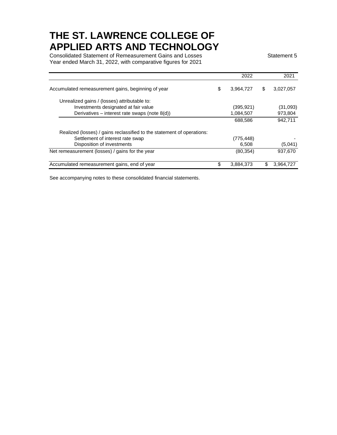Consolidated Statement of Remeasurement Gains and Losses Statement 5 Year ended March 31, 2022, with comparative figures for 2021

|                                                                        | 2022            |    | 2021      |
|------------------------------------------------------------------------|-----------------|----|-----------|
| Accumulated remeasurement gains, beginning of year                     | \$<br>3,964,727 | \$ | 3,027,057 |
| Unrealized gains / (losses) attributable to:                           |                 |    |           |
| Investments designated at fair value                                   | (395, 921)      |    | (31,093)  |
| Derivatives - interest rate swaps (note 8(d))                          | 1,084,507       |    | 973,804   |
|                                                                        | 688,586         |    | 942.711   |
| Realized (losses) / gains reclassified to the statement of operations: |                 |    |           |
| Settlement of interest rate swap                                       | (775, 448)      |    |           |
| Disposition of investments                                             | 6,508           |    | (5,041)   |
| Net remeasurement (losses) / gains for the year                        | (80, 354)       |    | 937.670   |
| Accumulated remeasurement gains, end of year                           | 3,884,373       | S  | 3,964,727 |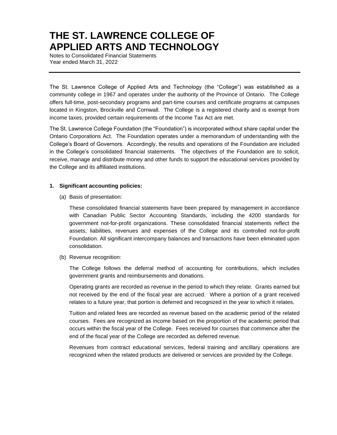Notes to Consolidated Financial Statements Year ended March 31, 2022

The St. Lawrence College of Applied Arts and Technology (the "College") was established as a community college in 1967 and operates under the authority of the Province of Ontario. The College offers full-time, post-secondary programs and part-time courses and certificate programs at campuses located in Kingston, Brockville and Cornwall. The College is a registered charity and is exempt from income taxes, provided certain requirements of the Income Tax Act are met.

The St. Lawrence College Foundation (the "Foundation") is incorporated without share capital under the Ontario Corporations Act. The Foundation operates under a memorandum of understanding with the College's Board of Governors. Accordingly, the results and operations of the Foundation are included in the College's consolidated financial statements. The objectives of the Foundation are to solicit, receive, manage and distribute money and other funds to support the educational services provided by the College and its affiliated institutions.

#### **1. Significant accounting policies:**

(a) Basis of presentation:

These consolidated financial statements have been prepared by management in accordance with Canadian Public Sector Accounting Standards, including the 4200 standards for government not-for-profit organizations. These consolidated financial statements reflect the assets, liabilities, revenues and expenses of the College and its controlled not-for-profit Foundation. All significant intercompany balances and transactions have been eliminated upon consolidation.

(b) Revenue recognition:

The College follows the deferral method of accounting for contributions, which includes government grants and reimbursements and donations.

Operating grants are recorded as revenue in the period to which they relate. Grants earned but not received by the end of the fiscal year are accrued. Where a portion of a grant received relates to a future year, that portion is deferred and recognized in the year to which it relates.

Tuition and related fees are recorded as revenue based on the academic period of the related courses. Fees are recognized as income based on the proportion of the academic period that occurs within the fiscal year of the College. Fees received for courses that commence after the end of the fiscal year of the College are recorded as deferred revenue.

Revenues from contract educational services, federal training and ancillary operations are recognized when the related products are delivered or services are provided by the College.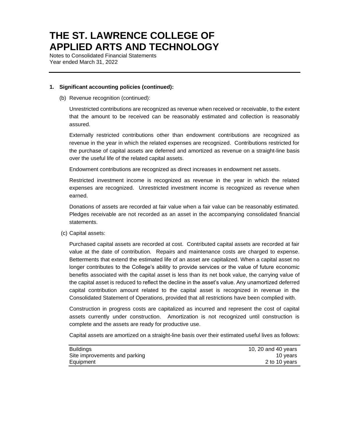Notes to Consolidated Financial Statements Year ended March 31, 2022

#### **1. Significant accounting policies (continued):**

(b) Revenue recognition (continued):

Unrestricted contributions are recognized as revenue when received or receivable, to the extent that the amount to be received can be reasonably estimated and collection is reasonably assured.

Externally restricted contributions other than endowment contributions are recognized as revenue in the year in which the related expenses are recognized. Contributions restricted for the purchase of capital assets are deferred and amortized as revenue on a straight-line basis over the useful life of the related capital assets.

Endowment contributions are recognized as direct increases in endowment net assets.

Restricted investment income is recognized as revenue in the year in which the related expenses are recognized. Unrestricted investment income is recognized as revenue when earned.

Donations of assets are recorded at fair value when a fair value can be reasonably estimated. Pledges receivable are not recorded as an asset in the accompanying consolidated financial statements.

(c) Capital assets:

Purchased capital assets are recorded at cost. Contributed capital assets are recorded at fair value at the date of contribution. Repairs and maintenance costs are charged to expense. Betterments that extend the estimated life of an asset are capitalized. When a capital asset no longer contributes to the College's ability to provide services or the value of future economic benefits associated with the capital asset is less than its net book value, the carrying value of the capital asset is reduced to reflect the decline in the asset's value. Any unamortized deferred capital contribution amount related to the capital asset is recognized in revenue in the Consolidated Statement of Operations, provided that all restrictions have been complied with.

Construction in progress costs are capitalized as incurred and represent the cost of capital assets currently under construction. Amortization is not recognized until construction is complete and the assets are ready for productive use.

Capital assets are amortized on a straight-line basis over their estimated useful lives as follows:

| <b>Buildings</b>              | 10, 20 and 40 years |
|-------------------------------|---------------------|
| Site improvements and parking | 10 vears            |
| Equipment                     | 2 to 10 years       |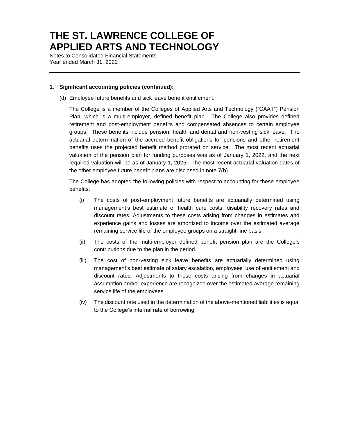Notes to Consolidated Financial Statements Year ended March 31, 2022

#### **1. Significant accounting policies (continued):**

(d) Employee future benefits and sick leave benefit entitlement:

The College is a member of the Colleges of Applied Arts and Technology ("CAAT") Pension Plan, which is a multi-employer, defined benefit plan. The College also provides defined retirement and post-employment benefits and compensated absences to certain employee groups. These benefits include pension, health and dental and non-vesting sick leave. The actuarial determination of the accrued benefit obligations for pensions and other retirement benefits uses the projected benefit method prorated on service. The most recent actuarial valuation of the pension plan for funding purposes was as of January 1, 2022, and the next required valuation will be as of January 1, 2025. The most recent actuarial valuation dates of the other employee future benefit plans are disclosed in note 7(b).

The College has adopted the following policies with respect to accounting for these employee benefits:

- (i) The costs of post-employment future benefits are actuarially determined using management's best estimate of health care costs, disability recovery rates and discount rates. Adjustments to these costs arising from changes in estimates and experience gains and losses are amortized to income over the estimated average remaining service life of the employee groups on a straight-line basis.
- (ii) The costs of the multi-employer defined benefit pension plan are the College's contributions due to the plan in the period.
- (iii) The cost of non-vesting sick leave benefits are actuarially determined using management's best estimate of salary escalation, employees' use of entitlement and discount rates. Adjustments to these costs arising from changes in actuarial assumption and/or experience are recognized over the estimated average remaining service life of the employees.
- (iv) The discount rate used in the determination of the above-mentioned liabilities is equal to the College's internal rate of borrowing.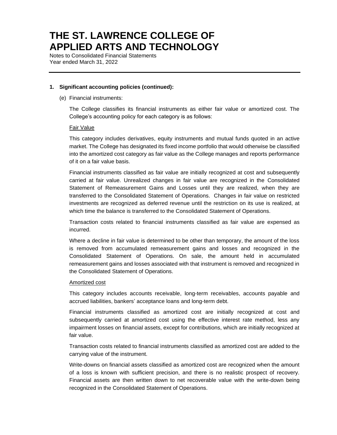Notes to Consolidated Financial Statements Year ended March 31, 2022

#### **1. Significant accounting policies (continued):**

(e) Financial instruments:

The College classifies its financial instruments as either fair value or amortized cost. The College's accounting policy for each category is as follows:

#### Fair Value

This category includes derivatives, equity instruments and mutual funds quoted in an active market. The College has designated its fixed income portfolio that would otherwise be classified into the amortized cost category as fair value as the College manages and reports performance of it on a fair value basis.

Financial instruments classified as fair value are initially recognized at cost and subsequently carried at fair value. Unrealized changes in fair value are recognized in the Consolidated Statement of Remeasurement Gains and Losses until they are realized, when they are transferred to the Consolidated Statement of Operations. Changes in fair value on restricted investments are recognized as deferred revenue until the restriction on its use is realized, at which time the balance is transferred to the Consolidated Statement of Operations.

Transaction costs related to financial instruments classified as fair value are expensed as incurred.

Where a decline in fair value is determined to be other than temporary, the amount of the loss is removed from accumulated remeasurement gains and losses and recognized in the Consolidated Statement of Operations. On sale, the amount held in accumulated remeasurement gains and losses associated with that instrument is removed and recognized in the Consolidated Statement of Operations.

#### Amortized cost

This category includes accounts receivable, long-term receivables, accounts payable and accrued liabilities, bankers' acceptance loans and long-term debt.

Financial instruments classified as amortized cost are initially recognized at cost and subsequently carried at amortized cost using the effective interest rate method, less any impairment losses on financial assets, except for contributions, which are initially recognized at fair value.

Transaction costs related to financial instruments classified as amortized cost are added to the carrying value of the instrument.

Write-downs on financial assets classified as amortized cost are recognized when the amount of a loss is known with sufficient precision, and there is no realistic prospect of recovery. Financial assets are then written down to net recoverable value with the write-down being recognized in the Consolidated Statement of Operations.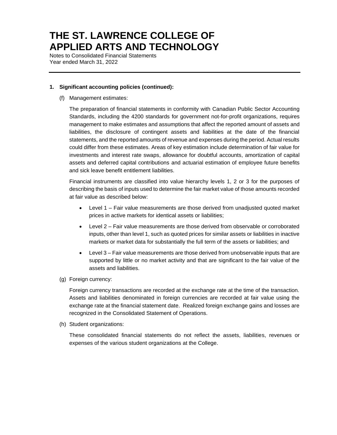Notes to Consolidated Financial Statements Year ended March 31, 2022

#### **1. Significant accounting policies (continued):**

(f) Management estimates:

The preparation of financial statements in conformity with Canadian Public Sector Accounting Standards, including the 4200 standards for government not-for-profit organizations, requires management to make estimates and assumptions that affect the reported amount of assets and liabilities, the disclosure of contingent assets and liabilities at the date of the financial statements, and the reported amounts of revenue and expenses during the period. Actual results could differ from these estimates. Areas of key estimation include determination of fair value for investments and interest rate swaps, allowance for doubtful accounts, amortization of capital assets and deferred capital contributions and actuarial estimation of employee future benefits and sick leave benefit entitlement liabilities.

Financial instruments are classified into value hierarchy levels 1, 2 or 3 for the purposes of describing the basis of inputs used to determine the fair market value of those amounts recorded at fair value as described below:

- Level 1 Fair value measurements are those derived from unadjusted quoted market prices in active markets for identical assets or liabilities;
- Level 2 Fair value measurements are those derived from observable or corroborated inputs, other than level 1, such as quoted prices for similar assets or liabilities in inactive markets or market data for substantially the full term of the assets or liabilities; and
- Level 3 Fair value measurements are those derived from unobservable inputs that are supported by little or no market activity and that are significant to the fair value of the assets and liabilities.
- (g) Foreign currency:

Foreign currency transactions are recorded at the exchange rate at the time of the transaction. Assets and liabilities denominated in foreign currencies are recorded at fair value using the exchange rate at the financial statement date. Realized foreign exchange gains and losses are recognized in the Consolidated Statement of Operations.

(h) Student organizations:

These consolidated financial statements do not reflect the assets, liabilities, revenues or expenses of the various student organizations at the College.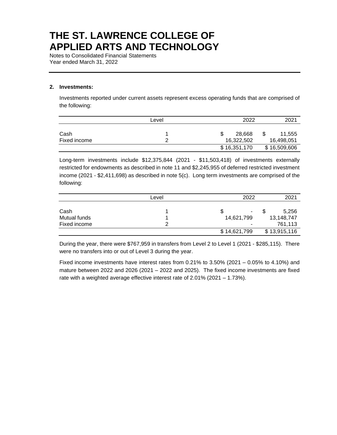Notes to Consolidated Financial Statements Year ended March 31, 2022

#### **2. Investments:**

Investments reported under current assets represent excess operating funds that are comprised of the following:

|              | Level | 2022         | 2021         |
|--------------|-------|--------------|--------------|
| Cash         |       | 28.668       | 11,555       |
| Fixed income |       | 16,322,502   | 16,498,051   |
|              |       | \$16,351,170 | \$16,509,606 |

Long-term investments include \$12,375,844 (2021 - \$11,503,418) of investments externally restricted for endowments as described in note 11 and \$2,245,955 of deferred restricted investment income (2021 - \$2,411,698) as described in note 5(c). Long term investments are comprised of the following:

|              | Level | 2022         | 2021         |
|--------------|-------|--------------|--------------|
|              |       |              |              |
| Cash         |       | \$<br>۰.     | 5,256        |
| Mutual funds |       | 14,621,799   | 13,148,747   |
| Fixed income |       | ۰            | 761,113      |
|              |       | \$14,621,799 | \$13,915,116 |

During the year, there were \$767,959 in transfers from Level 2 to Level 1 (2021 - \$285,115). There were no transfers into or out of Level 3 during the year.

Fixed income investments have interest rates from 0.21% to 3.50% (2021 – 0.05% to 4.10%) and mature between 2022 and 2026 (2021 – 2022 and 2025). The fixed income investments are fixed rate with a weighted average effective interest rate of 2.01% (2021 – 1.73%).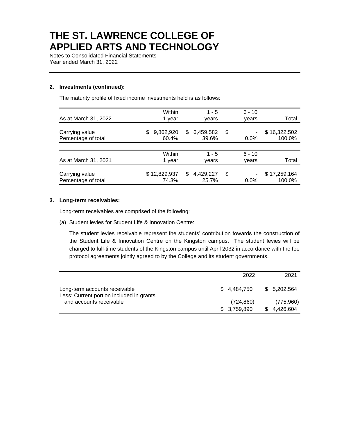Notes to Consolidated Financial Statements Year ended March 31, 2022

#### **2. Investments (continued):**

The maturity profile of fixed income investments held is as follows:

|                      | Within         | $1 - 5$          | $6 - 10$ |              |
|----------------------|----------------|------------------|----------|--------------|
| As at March 31, 2022 | 1 year         | vears            | years    | Total        |
|                      |                |                  |          |              |
| Carrying value       | 9,862,920<br>S | 6,459,582<br>S.  | \$       | \$16,322,502 |
| Percentage of total  | 60.4%          | 39.6%            | $0.0\%$  | 100.0%       |
|                      |                |                  |          |              |
|                      | Within         | $1 - 5$          | $6 - 10$ |              |
| As at March 31, 2021 | 1 year         | vears            | years    | Total        |
|                      |                |                  |          |              |
| Carrying value       | \$12,829,937   | 4,429,227<br>\$. | \$       | \$17,259,164 |
| Percentage of total  | 74.3%          | 25.7%            | $0.0\%$  | 100.0%       |

#### **3. Long-term receivables:**

Long-term receivables are comprised of the following:

(a) Student levies for Student Life & Innovation Centre:

The student levies receivable represent the students' contribution towards the construction of the Student Life & Innovation Centre on the Kingston campus. The student levies will be charged to full-time students of the Kingston campus until April 2032 in accordance with the fee protocol agreements jointly agreed to by the College and its student governments.

|                                                                           | 2022        | 2021        |
|---------------------------------------------------------------------------|-------------|-------------|
| Long-term accounts receivable<br>Less: Current portion included in grants | \$4.484.750 | \$5,202,564 |
| and accounts receivable                                                   | (724, 860)  | (775,960)   |
|                                                                           | \$3,759,890 | 4.426.604   |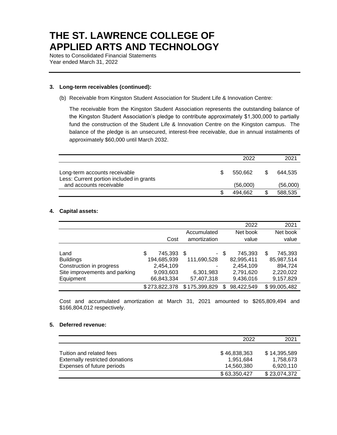Notes to Consolidated Financial Statements Year ended March 31, 2022

#### **3. Long-term receivables (continued):**

(b) Receivable from Kingston Student Association for Student Life & Innovation Centre:

The receivable from the Kingston Student Association represents the outstanding balance of the Kingston Student Association's pledge to contribute approximately \$1,300,000 to partially fund the construction of the Student Life & Innovation Centre on the Kingston campus. The balance of the pledge is an unsecured, interest-free receivable, due in annual instalments of approximately \$60,000 until March 2032.

|                                                                           |   | 2022     |  |          |
|---------------------------------------------------------------------------|---|----------|--|----------|
| Long-term accounts receivable<br>Less: Current portion included in grants | S | 550.662  |  | 644.535  |
| and accounts receivable                                                   |   | (56,000) |  | (56,000) |
|                                                                           |   | 494.662  |  | 588,535  |

#### **4. Capital assets:**

|                               |               |               | 2022             | 2021          |
|-------------------------------|---------------|---------------|------------------|---------------|
|                               |               | Accumulated   | Net book         | Net book      |
|                               | Cost          | amortization  | value            | value         |
|                               |               |               |                  |               |
| Land                          | 745,393<br>S  | \$            | - \$<br>745,393  | \$<br>745,393 |
| <b>Buildings</b>              | 194,685,939   | 111,690,528   | 82,995,411       | 85,987,514    |
| Construction in progress      | 2,454,109     |               | 2,454,109        | 894,724       |
| Site improvements and parking | 9,093,603     | 6,301,983     | 2,791,620        | 2,220,022     |
| Equipment                     | 66,843,334    | 57,407,318    | 9,436,016        | 9,157,829     |
|                               | \$273,822,378 | \$175,399,829 | 98,422,549<br>\$ | \$99,005,482  |

Cost and accumulated amortization at March 31, 2021 amounted to \$265,809,494 and \$166,804,012 respectively.

#### **5. Deferred revenue:**

|                                 | 2022         | 2021         |
|---------------------------------|--------------|--------------|
|                                 |              |              |
| Tuition and related fees        | \$46,838,363 | \$14,395,589 |
| Externally restricted donations | 1.951.684    | 1,758,673    |
| Expenses of future periods      | 14.560.380   | 6,920,110    |
|                                 | \$63,350,427 | \$23,074,372 |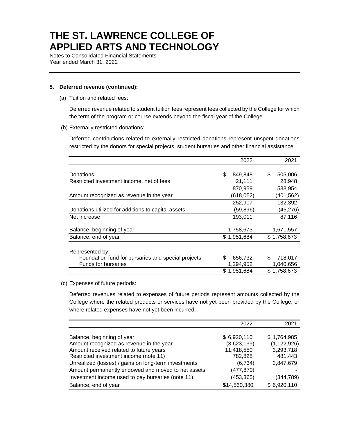Notes to Consolidated Financial Statements Year ended March 31, 2022

#### **5. Deferred revenue (continued):**

(a) Tuition and related fees:

Deferred revenue related to student tuition fees represent fees collected by the College for which the term of the program or course extends beyond the fiscal year of the College.

(b) Externally restricted donations:

Deferred contributions related to externally restricted donations represent unspent donations restricted by the donors for special projects, student bursaries and other financial assistance.

|                                                    | 2022           | 2021          |
|----------------------------------------------------|----------------|---------------|
|                                                    |                |               |
| Donations                                          | \$<br>849,848  | \$<br>505,006 |
| Restricted investment income, net of fees          | 21,111         | 28,948        |
|                                                    | 870,959        | 533,954       |
| Amount recognized as revenue in the year           | (618,052)      | (401, 562)    |
|                                                    | 252,907        | 132,392       |
| Donations utilized for additions to capital assets | (59,896)       | (45, 276)     |
| Net increase                                       | 193,011        | 87,116        |
| Balance, beginning of year                         | 1,758,673      | 1,671,557     |
| Balance, end of year                               | \$1,951,684    | \$1,758,673   |
| Represented by:                                    |                |               |
| Foundation fund for bursaries and special projects | \$.<br>656,732 | 718,017<br>\$ |
| <b>Funds for bursaries</b>                         | 1,294,952      | 1,040,656     |
|                                                    | \$1,951,684    | \$1,758,673   |

#### (c) Expenses of future periods:

Deferred revenues related to expenses of future periods represent amounts collected by the College where the related products or services have not yet been provided by the College, or where related expenses have not yet been incurred.

|                                                      | 2022         | 2021          |
|------------------------------------------------------|--------------|---------------|
|                                                      |              |               |
| Balance, beginning of year                           | \$6,920,110  | \$1,764,985   |
| Amount recognized as revenue in the year             | (3,623,139)  | (1, 122, 926) |
| Amount received related to future years              | 11,418,550   | 3,293,718     |
| Restricted investment income (note 11)               | 782,828      | 481,443       |
| Unrealized (losses) / gains on long-term investments | (6,734)      | 2,847,679     |
| Amount permanently endowed and moved to net assets   | (477, 870)   |               |
| Investment income used to pay bursaries (note 11)    | (453, 365)   | (344, 789)    |
| Balance, end of year                                 | \$14,560,380 | \$6,920,110   |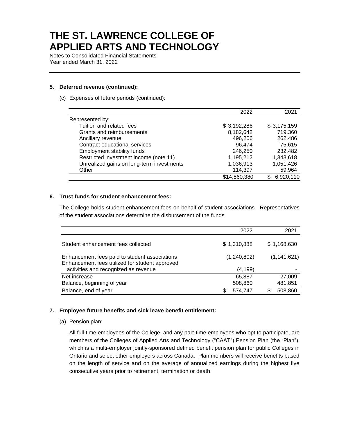Notes to Consolidated Financial Statements Year ended March 31, 2022

#### **5. Deferred revenue (continued):**

(c) Expenses of future periods (continued):

|                                           | 2022         | 2021            |
|-------------------------------------------|--------------|-----------------|
| Represented by:                           |              |                 |
| Tuition and related fees                  | \$3,192,286  | \$3,175,159     |
| Grants and reimbursements                 | 8,182,642    | 719,360         |
| Ancillary revenue                         | 496,206      | 262,486         |
| Contract educational services             | 96,474       | 75.615          |
| Employment stability funds                | 246,250      | 232,482         |
| Restricted investment income (note 11)    | 1,195,212    | 1,343,618       |
| Unrealized gains on long-term investments | 1,036,913    | 1,051,426       |
| Other                                     | 114,397      | 59,964          |
|                                           | \$14,560,380 | 6,920,110<br>S. |

#### **6. Trust funds for student enhancement fees:**

The College holds student enhancement fees on behalf of student associations. Representatives of the student associations determine the disbursement of the funds.

|                                                                                                 | 2022        | 2021          |
|-------------------------------------------------------------------------------------------------|-------------|---------------|
| Student enhancement fees collected                                                              | \$1,310,888 | \$1,168,630   |
| Enhancement fees paid to student associations<br>Enhancement fees utilized for student approved | (1,240,802) | (1, 141, 621) |
| activities and recognized as revenue                                                            | (4, 199)    |               |
| Net increase                                                                                    | 65,887      | 27,009        |
| Balance, beginning of year                                                                      | 508,860     | 481,851       |
| Balance, end of year                                                                            | 574,747     | 508,860       |

#### **7. Employee future benefits and sick leave benefit entitlement:**

(a) Pension plan:

All full-time employees of the College, and any part-time employees who opt to participate, are members of the Colleges of Applied Arts and Technology ("CAAT") Pension Plan (the "Plan"), which is a multi-employer jointly-sponsored defined benefit pension plan for public Colleges in Ontario and select other employers across Canada. Plan members will receive benefits based on the length of service and on the average of annualized earnings during the highest five consecutive years prior to retirement, termination or death.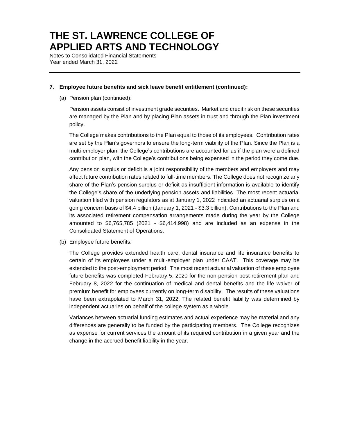Notes to Consolidated Financial Statements Year ended March 31, 2022

#### **7. Employee future benefits and sick leave benefit entitlement (continued):**

(a) Pension plan (continued):

Pension assets consist of investment grade securities. Market and credit risk on these securities are managed by the Plan and by placing Plan assets in trust and through the Plan investment policy.

The College makes contributions to the Plan equal to those of its employees. Contribution rates are set by the Plan's governors to ensure the long-term viability of the Plan. Since the Plan is a multi-employer plan, the College's contributions are accounted for as if the plan were a defined contribution plan, with the College's contributions being expensed in the period they come due.

Any pension surplus or deficit is a joint responsibility of the members and employers and may affect future contribution rates related to full-time members. The College does not recognize any share of the Plan's pension surplus or deficit as insufficient information is available to identify the College's share of the underlying pension assets and liabilities. The most recent actuarial valuation filed with pension regulators as at January 1, 2022 indicated an actuarial surplus on a going concern basis of \$4.4 billion (January 1, 2021 - \$3.3 billion). Contributions to the Plan and its associated retirement compensation arrangements made during the year by the College amounted to \$6,765,785 (2021 - \$6,414,998) and are included as an expense in the Consolidated Statement of Operations.

(b) Employee future benefits:

The College provides extended health care, dental insurance and life insurance benefits to certain of its employees under a multi-employer plan under CAAT. This coverage may be extended to the post-employment period. The most recent actuarial valuation of these employee future benefits was completed February 5, 2020 for the non-pension post-retirement plan and February 8, 2022 for the continuation of medical and dental benefits and the life waiver of premium benefit for employees currently on long-term disability. The results of these valuations have been extrapolated to March 31, 2022. The related benefit liability was determined by independent actuaries on behalf of the college system as a whole.

Variances between actuarial funding estimates and actual experience may be material and any differences are generally to be funded by the participating members. The College recognizes as expense for current services the amount of its required contribution in a given year and the change in the accrued benefit liability in the year.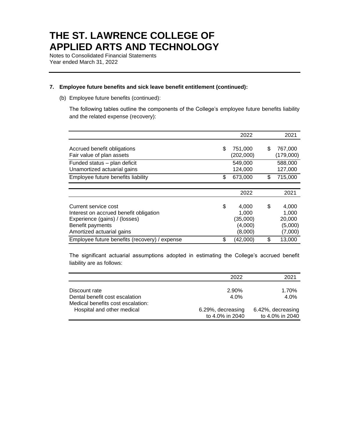Notes to Consolidated Financial Statements Year ended March 31, 2022

#### **7. Employee future benefits and sick leave benefit entitlement (continued):**

(b) Employee future benefits (continued):

The following tables outline the components of the College's employee future benefits liability and the related expense (recovery):

|                                                                                                                                                  | 2022                                                   |     | 2021                                           |
|--------------------------------------------------------------------------------------------------------------------------------------------------|--------------------------------------------------------|-----|------------------------------------------------|
| Accrued benefit obligations<br>Fair value of plan assets                                                                                         | \$<br>751,000<br>(202,000)                             | \$. | 767,000<br>(179,000)                           |
| Funded status - plan deficit<br>Unamortized actuarial gains                                                                                      | 549,000<br>124,000                                     |     | 588,000<br>127,000                             |
| Employee future benefits liability                                                                                                               | \$<br>673,000                                          | \$  | 715,000                                        |
|                                                                                                                                                  |                                                        |     |                                                |
|                                                                                                                                                  | 2022                                                   |     | 2021                                           |
| Current service cost<br>Interest on accrued benefit obligation<br>Experience (gains) / (losses)<br>Benefit payments<br>Amortized actuarial gains | \$<br>4,000<br>1.000<br>(35,000)<br>(4,000)<br>(8,000) | \$  | 4,000<br>1,000<br>20,000<br>(5,000)<br>(7,000) |
| Employee future benefits (recovery) / expense                                                                                                    | \$<br>(42,000)                                         | \$  | 13,000                                         |

The significant actuarial assumptions adopted in estimating the College's accrued benefit liability are as follows:

|                                   | 2022                                 | 2021                                 |
|-----------------------------------|--------------------------------------|--------------------------------------|
| Discount rate                     | 2.90%                                | 1.70%                                |
| Dental benefit cost escalation    | 4.0%                                 | 4.0%                                 |
| Medical benefits cost escalation: |                                      |                                      |
| Hospital and other medical        | 6.29%, decreasing<br>to 4.0% in 2040 | 6.42%, decreasing<br>to 4.0% in 2040 |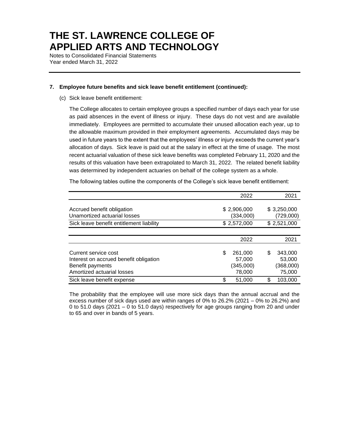Notes to Consolidated Financial Statements Year ended March 31, 2022

#### **7. Employee future benefits and sick leave benefit entitlement (continued):**

(c) Sick leave benefit entitlement:

The College allocates to certain employee groups a specified number of days each year for use as paid absences in the event of illness or injury. These days do not vest and are available immediately. Employees are permitted to accumulate their unused allocation each year, up to the allowable maximum provided in their employment agreements. Accumulated days may be used in future years to the extent that the employees' illness or injury exceeds the current year's allocation of days. Sick leave is paid out at the salary in effect at the time of usage. The most recent actuarial valuation of these sick leave benefits was completed February 11, 2020 and the results of this valuation have been extrapolated to March 31, 2022. The related benefit liability was determined by independent actuaries on behalf of the college system as a whole.

The following tables outline the components of the College's sick leave benefit entitlement:

|                                                                                                                  | 2022                                           | 2021                                          |
|------------------------------------------------------------------------------------------------------------------|------------------------------------------------|-----------------------------------------------|
| Accrued benefit obligation<br>Unamortized actuarial losses                                                       | \$2,906,000<br>(334,000)                       | \$3,250,000<br>(729,000)                      |
| Sick leave benefit entitlement liability                                                                         | \$2,572,000                                    | \$2,521,000                                   |
|                                                                                                                  |                                                |                                               |
|                                                                                                                  | 2022                                           | 2021                                          |
| Current service cost<br>Interest on accrued benefit obligation<br>Benefit payments<br>Amortized actuarial losses | \$<br>261.000<br>57,000<br>(345,000)<br>78,000 | 343,000<br>S<br>53,000<br>(368,000)<br>75,000 |
| Sick leave benefit expense                                                                                       | \$<br>51,000                                   | S.<br>103,000                                 |

The probability that the employee will use more sick days than the annual accrual and the excess number of sick days used are within ranges of 0% to 26.2% (2021 – 0% to 26.2%) and 0 to 51.0 days (2021 – 0 to 51.0 days) respectively for age groups ranging from 20 and under to 65 and over in bands of 5 years.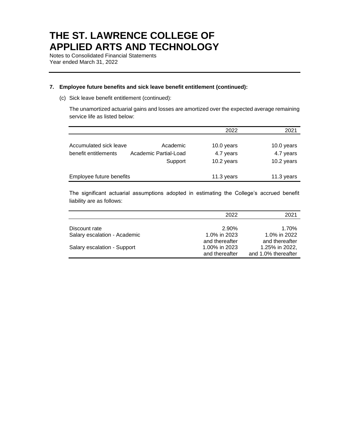Notes to Consolidated Financial Statements Year ended March 31, 2022

#### **7. Employee future benefits and sick leave benefit entitlement (continued):**

(c) Sick leave benefit entitlement (continued):

The unamortized actuarial gains and losses are amortized over the expected average remaining service life as listed below:

|                          |                       | 2022       | 2021       |
|--------------------------|-----------------------|------------|------------|
|                          |                       |            |            |
| Accumulated sick leave   | Academic              | 10.0 years | 10.0 years |
| benefit entitlements     | Academic Partial-Load | 4.7 years  | 4.7 years  |
|                          | Support               | 10.2 years | 10.2 years |
|                          |                       |            |            |
| Employee future benefits |                       | 11.3 years | 11.3 years |

The significant actuarial assumptions adopted in estimating the College's accrued benefit liability are as follows:

|                              | 2022           | 2021                |
|------------------------------|----------------|---------------------|
|                              |                |                     |
| Discount rate                | 2.90%          | 1.70%               |
| Salary escalation - Academic | 1.0% in 2023   | 1.0% in 2022        |
|                              | and thereafter | and thereafter      |
| Salary escalation - Support  | 1.00% in 2023  | 1.25% in 2022,      |
|                              | and thereafter | and 1.0% thereafter |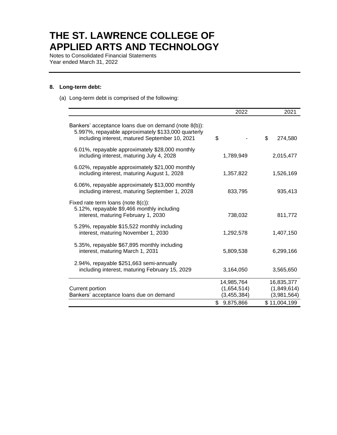Notes to Consolidated Financial Statements Year ended March 31, 2022

#### **8. Long-term debt:**

(a) Long-term debt is comprised of the following:

|                                                                                                                                                               | 2022            | 2021          |
|---------------------------------------------------------------------------------------------------------------------------------------------------------------|-----------------|---------------|
| Bankers' acceptance loans due on demand (note 8(b)):<br>5.997%, repayable approximately \$133,000 quarterly<br>including interest, matured September 10, 2021 | \$              | \$<br>274,580 |
| 6.01%, repayable approximately \$28,000 monthly<br>including interest, maturing July 4, 2028                                                                  | 1,789,949       | 2,015,477     |
| 6.02%, repayable approximately \$21,000 monthly<br>including interest, maturing August 1, 2028                                                                | 1,357,822       | 1,526,169     |
| 6.06%, repayable approximately \$13,000 monthly<br>including interest, maturing September 1, 2028                                                             | 833,795         | 935,413       |
| Fixed rate term loans (note $8(c)$ ):<br>5.12%, repayable \$9,466 monthly including<br>interest, maturing February 1, 2030                                    | 738,032         | 811,772       |
| 5.29%, repayable \$15,522 monthly including<br>interest, maturing November 1, 2030                                                                            | 1,292,578       | 1,407,150     |
| 5.35%, repayable \$67,895 monthly including<br>interest, maturing March 1, 2031                                                                               | 5,809,538       | 6,299,166     |
| 2.94%, repayable \$251,663 semi-annually<br>including interest, maturing February 15, 2029                                                                    | 3,164,050       | 3,565,650     |
|                                                                                                                                                               | 14,985,764      | 16,835,377    |
| Current portion                                                                                                                                               | (1,654,514)     | (1,849,614)   |
| Bankers' acceptance loans due on demand                                                                                                                       | (3, 455, 384)   | (3,981,564)   |
|                                                                                                                                                               | 9,875,866<br>\$ | \$11,004,199  |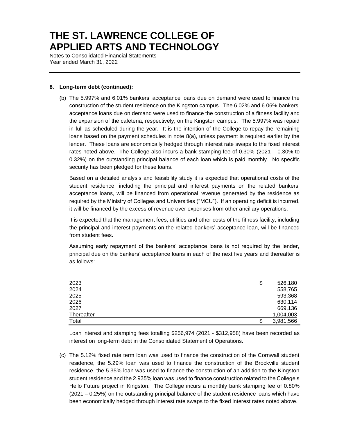Notes to Consolidated Financial Statements Year ended March 31, 2022

#### **8. Long-term debt (continued):**

(b) The 5.997% and 6.01% bankers' acceptance loans due on demand were used to finance the construction of the student residence on the Kingston campus. The 6.02% and 6.06% bankers' acceptance loans due on demand were used to finance the construction of a fitness facility and the expansion of the cafeteria, respectively, on the Kingston campus. The 5.997% was repaid in full as scheduled during the year. It is the intention of the College to repay the remaining loans based on the payment schedules in note 8(a), unless payment is required earlier by the lender. These loans are economically hedged through interest rate swaps to the fixed interest rates noted above. The College also incurs a bank stamping fee of 0.30% (2021 – 0.30% to 0.32%) on the outstanding principal balance of each loan which is paid monthly. No specific security has been pledged for these loans.

Based on a detailed analysis and feasibility study it is expected that operational costs of the student residence, including the principal and interest payments on the related bankers' acceptance loans, will be financed from operational revenue generated by the residence as required by the Ministry of Colleges and Universities ("MCU"). If an operating deficit is incurred, it will be financed by the excess of revenue over expenses from other ancillary operations.

It is expected that the management fees, utilities and other costs of the fitness facility, including the principal and interest payments on the related bankers' acceptance loan, will be financed from student fees.

Assuming early repayment of the bankers' acceptance loans is not required by the lender, principal due on the bankers' acceptance loans in each of the next five years and thereafter is as follows:

| 2023       | \$<br>526,180   |
|------------|-----------------|
| 2024       | 558,765         |
| 2025       | 593,368         |
| 2026       | 630,114         |
| 2027       | 669,136         |
| Thereafter | 1,004,003       |
| Total      | \$<br>3,981,566 |

Loan interest and stamping fees totalling \$256,974 (2021 - \$312,958) have been recorded as interest on long-term debt in the Consolidated Statement of Operations.

(c) The 5.12% fixed rate term loan was used to finance the construction of the Cornwall student residence, the 5.29% loan was used to finance the construction of the Brockville student residence, the 5.35% loan was used to finance the construction of an addition to the Kingston student residence and the 2.935% loan was used to finance construction related to the College's Hello Future project in Kingston. The College incurs a monthly bank stamping fee of 0.80% (2021 – 0.25%) on the outstanding principal balance of the student residence loans which have been economically hedged through interest rate swaps to the fixed interest rates noted above.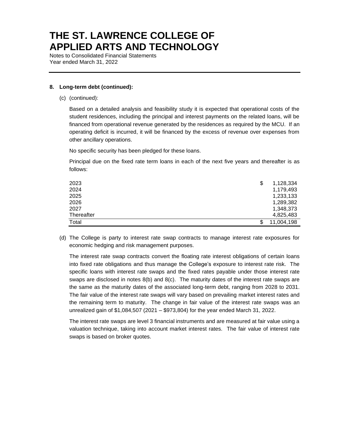Notes to Consolidated Financial Statements Year ended March 31, 2022

#### **8. Long-term debt (continued):**

(c) (continued):

Based on a detailed analysis and feasibility study it is expected that operational costs of the student residences, including the principal and interest payments on the related loans, will be financed from operational revenue generated by the residences as required by the MCU. If an operating deficit is incurred, it will be financed by the excess of revenue over expenses from other ancillary operations.

No specific security has been pledged for these loans.

Principal due on the fixed rate term loans in each of the next five years and thereafter is as follows:

| 2023       | \$<br>1,128,334 |
|------------|-----------------|
| 2024       | 1,179,493       |
| 2025       | 1,233,133       |
| 2026       | 1,289,382       |
| 2027       | 1,348,373       |
| Thereafter | 4,825,483       |
| Total      | 11,004,198      |

(d) The College is party to interest rate swap contracts to manage interest rate exposures for economic hedging and risk management purposes.

The interest rate swap contracts convert the floating rate interest obligations of certain loans into fixed rate obligations and thus manage the College's exposure to interest rate risk. The specific loans with interest rate swaps and the fixed rates payable under those interest rate swaps are disclosed in notes 8(b) and 8(c). The maturity dates of the interest rate swaps are the same as the maturity dates of the associated long-term debt, ranging from 2028 to 2031. The fair value of the interest rate swaps will vary based on prevailing market interest rates and the remaining term to maturity. The change in fair value of the interest rate swaps was an unrealized gain of \$1,084,507 (2021 – \$973,804) for the year ended March 31, 2022.

The interest rate swaps are level 3 financial instruments and are measured at fair value using a valuation technique, taking into account market interest rates. The fair value of interest rate swaps is based on broker quotes.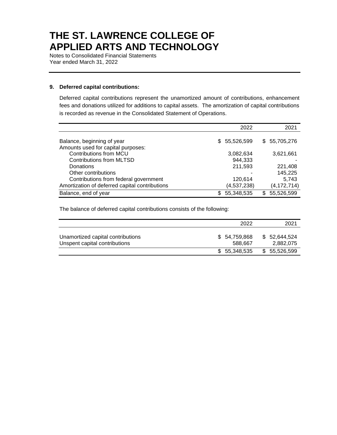Notes to Consolidated Financial Statements Year ended March 31, 2022

#### **9. Deferred capital contributions:**

Deferred capital contributions represent the unamortized amount of contributions, enhancement fees and donations utilized for additions to capital assets. The amortization of capital contributions is recorded as revenue in the Consolidated Statement of Operations.

|                                                | 2022              | 2021            |
|------------------------------------------------|-------------------|-----------------|
|                                                |                   |                 |
| Balance, beginning of year                     | \$ 55,526,599     | \$55,705,276    |
| Amounts used for capital purposes:             |                   |                 |
| Contributions from MCU                         | 3,082,634         | 3,621,661       |
| <b>Contributions from MLTSD</b>                | 944.333           |                 |
| Donations                                      | 211,593           | 221,408         |
| Other contributions                            |                   | 145,225         |
| Contributions from federal government          | 120,614           | 5.743           |
| Amortization of deferred capital contributions | (4,537,238)       | (4, 172, 714)   |
| Balance, end of year                           | 55,348,535<br>\$. | 55,526,599<br>S |

The balance of deferred capital contributions consists of the following:

|                                                                    | 2022                    | 2021                       |
|--------------------------------------------------------------------|-------------------------|----------------------------|
| Unamortized capital contributions<br>Unspent capital contributions | \$54,759,868<br>588.667 | \$ 52,644,524<br>2,882,075 |
|                                                                    | \$55,348,535            | \$ 55,526,599              |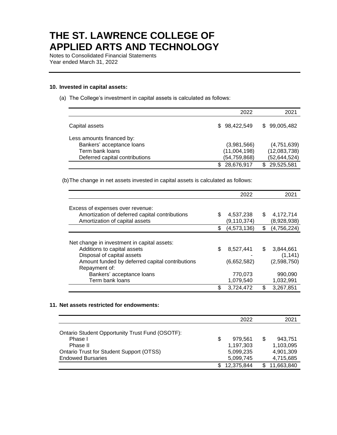Notes to Consolidated Financial Statements Year ended March 31, 2022

#### **10. Invested in capital assets:**

(a) The College's investment in capital assets is calculated as follows:

|                                | 2022           | 2021              |
|--------------------------------|----------------|-------------------|
| Capital assets                 | \$98,422,549   | \$99,005,482      |
| Less amounts financed by:      |                |                   |
| Bankers' acceptance loans      | (3,981,566)    | (4,751,639)       |
| Term bank loans                | (11,004,198)   | (12,083,738)      |
| Deferred capital contributions | (54, 759, 868) | (52,644,524)      |
|                                | 28,676,917     | 29,525,581<br>\$. |

(b)The change in net assets invested in capital assets is calculated as follows:

|                                                 | 2022              |     | 2021        |
|-------------------------------------------------|-------------------|-----|-------------|
| Excess of expenses over revenue:                |                   |     |             |
| Amortization of deferred capital contributions  | \$<br>4,537,238   | S   | 4,172,714   |
| Amortization of capital assets                  | (9, 110, 374)     |     | (8,928,938) |
|                                                 | \$<br>(4,573,136) | \$  | (4,756,224) |
|                                                 |                   |     |             |
| Net change in investment in capital assets:     |                   |     |             |
| Additions to capital assets                     | \$<br>8,527,441   | \$. | 3.844.661   |
| Disposal of capital assets                      |                   |     | (1, 141)    |
| Amount funded by deferred capital contributions | (6,652,582)       |     | (2,598,750) |
| Repayment of:                                   |                   |     |             |
| Bankers' acceptance loans                       | 770,073           |     | 990,090     |
| Term bank loans                                 | 1,079,540         |     | 1,032,991   |
|                                                 | \$<br>3,724,472   |     | 3,267,851   |

#### **11. Net assets restricted for endowments:**

|                                                 |     | 2022       |   | 2021       |
|-------------------------------------------------|-----|------------|---|------------|
|                                                 |     |            |   |            |
| Ontario Student Opportunity Trust Fund (OSOTF): |     |            |   |            |
| Phase I                                         | \$  | 979.561    | S | 943,751    |
| Phase II                                        |     | 1,197,303  |   | 1,103,095  |
| <b>Ontario Trust for Student Support (OTSS)</b> |     | 5,099,235  |   | 4.901.309  |
| <b>Endowed Bursaries</b>                        |     | 5,099,745  |   | 4,715,685  |
|                                                 | \$. | 12,375,844 |   | 11,663,840 |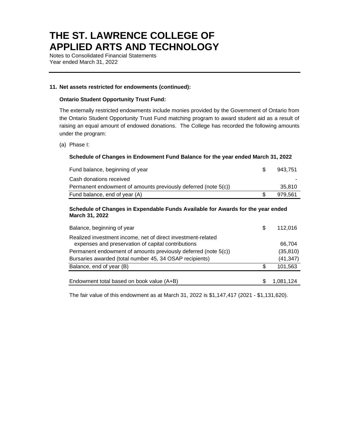Notes to Consolidated Financial Statements Year ended March 31, 2022

#### **11. Net assets restricted for endowments (continued):**

#### **Ontario Student Opportunity Trust Fund:**

The externally restricted endowments include monies provided by the Government of Ontario from the Ontario Student Opportunity Trust Fund matching program to award student aid as a result of raising an equal amount of endowed donations. The College has recorded the following amounts under the program:

(a) Phase I:

#### **Schedule of Changes in Endowment Fund Balance for the year ended March 31, 2022**

| Fund balance, beginning of year                                | 943.751 |
|----------------------------------------------------------------|---------|
| Cash donations received                                        |         |
| Permanent endowment of amounts previously deferred (note 5(c)) | 35.810  |
| Fund balance, end of year (A)                                  | 979.561 |

#### **Schedule of Changes in Expendable Funds Available for Awards for the year ended March 31, 2022**

| Balance, beginning of year                                                                                         | S  | 112,016   |
|--------------------------------------------------------------------------------------------------------------------|----|-----------|
| Realized investment income, net of direct investment-related<br>expenses and preservation of capital contributions |    | 66,704    |
| Permanent endowment of amounts previously deferred (note 5(c))                                                     |    | (35, 810) |
| Bursaries awarded (total number 45, 34 OSAP recipients)                                                            |    | (41, 347) |
| Balance, end of year (B)                                                                                           | S. | 101,563   |
| Endowment total based on book value (A+B)                                                                          |    | 1,081,124 |
|                                                                                                                    |    |           |

The fair value of this endowment as at March 31, 2022 is \$1,147,417 (2021 - \$1,131,620).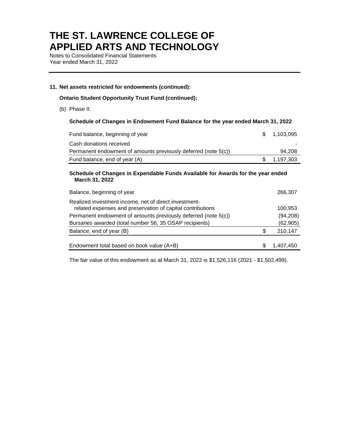Notes to Consolidated Financial Statements Year ended March 31, 2022

#### **11. Net assets restricted for endowments (continued):**

**Ontario Student Opportunity Trust Fund (continued):**

(b) Phase II:

#### **Schedule of Changes in Endowment Fund Balance for the year ended March 31, 2022**

| Fund balance, beginning of year                                | \$ 1.103.095 |
|----------------------------------------------------------------|--------------|
| Cash donations received                                        |              |
| Permanent endowment of amounts previously deferred (note 5(c)) | 94.208       |
| Fund balance, end of year (A)                                  | \$ 1.197.303 |

#### **Schedule of Changes in Expendable Funds Available for Awards for the year ended March 31, 2022**

| Balance, beginning of year                                                                                          |   | 266,307   |
|---------------------------------------------------------------------------------------------------------------------|---|-----------|
| Realized investment income, net of direct investment-<br>related expenses and preservation of capital contributions |   | 100.953   |
| Permanent endowment of amounts previously deferred (note 5(c))                                                      |   | (94, 208) |
| Bursaries awarded (total number 56, 35 OSAP recipients)                                                             |   | (62, 905) |
| Balance, end of year (B)                                                                                            | S | 210,147   |
| Endowment total based on book value (A+B)                                                                           |   | 1.407.450 |

The fair value of this endowment as at March 31, 2022 is \$1,526,116 (2021 - \$1,502,499).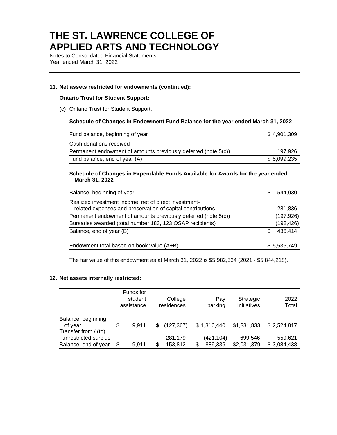Notes to Consolidated Financial Statements Year ended March 31, 2022

#### **11. Net assets restricted for endowments (continued):**

#### **Ontario Trust for Student Support:**

(c) Ontario Trust for Student Support:

#### **Schedule of Changes in Endowment Fund Balance for the year ended March 31, 2022**

| Fund balance, beginning of year                                | \$4.901.309 |
|----------------------------------------------------------------|-------------|
| Cash donations received                                        |             |
| Permanent endowment of amounts previously deferred (note 5(c)) | 197.926     |
| Fund balance, end of year (A)                                  | \$5.099.235 |

#### **Schedule of Changes in Expendable Funds Available for Awards for the year ended March 31, 2022**

| Balance, beginning of year                                                                                          | \$. | 544.930     |
|---------------------------------------------------------------------------------------------------------------------|-----|-------------|
| Realized investment income, net of direct investment-<br>related expenses and preservation of capital contributions |     | 281,836     |
| Permanent endowment of amounts previously deferred (note 5(c))                                                      |     | (197, 926)  |
| Bursaries awarded (total number 183, 123 OSAP recipients)                                                           |     | (192, 426)  |
| Balance, end of year (B)                                                                                            | S   | 436,414     |
| Endowment total based on book value (A+B)                                                                           |     | \$5,535,749 |

The fair value of this endowment as at March 31, 2022 is \$5,982,534 (2021 - \$5,844,218).

#### **12. Net assets internally restricted:**

|                                                       | Funds for<br>student<br>assistance |     | College<br>residences | Pay<br>parking | Strategic<br>Initiatives | 2022<br>Total |
|-------------------------------------------------------|------------------------------------|-----|-----------------------|----------------|--------------------------|---------------|
| Balance, beginning<br>of year<br>Transfer from / (to) | \$<br>9.911                        | \$. | (127, 367)            | \$1,310,440    | \$1,331,833              | \$2,524,817   |
| unrestricted surplus                                  | -                                  |     | 281,179               | (421, 104)     | 699,546                  | 559,621       |
| Balance, end of year                                  | \$<br>9.911                        | \$  | 153,812               | 889,336        | \$2,031,379              | \$3,084,438   |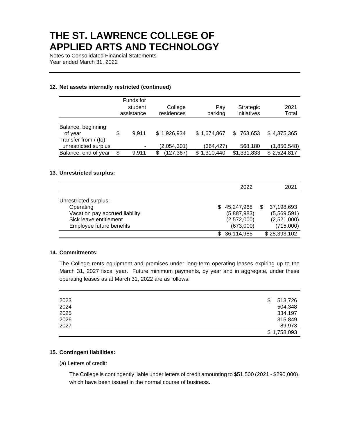Notes to Consolidated Financial Statements Year ended March 31, 2022

#### **12. Net assets internally restricted (continued)**

|                                              | Funds for<br>student<br>assistance | College<br>residences | Pay<br>parking | Strategic<br>Initiatives | 2021<br>Total |
|----------------------------------------------|------------------------------------|-----------------------|----------------|--------------------------|---------------|
| Balance, beginning<br>of year                | \$<br>9.911                        | \$1,926,934           | \$1,674,867    | 763.653<br>S             | \$4,375,365   |
| Transfer from / (to)<br>unrestricted surplus |                                    | (2,054,301)           | (364,427)      | 568,180                  | (1,850,548)   |
| Balance, end of year                         | \$<br>9.911                        | (127, 367)<br>S       | \$1,310,440    | \$1,331,833              | \$2,524,817   |

#### **13. Unrestricted surplus:**

|                                                                                                                            |     | 2022                                                  | 2021                                                  |
|----------------------------------------------------------------------------------------------------------------------------|-----|-------------------------------------------------------|-------------------------------------------------------|
| Unrestricted surplus:<br>Operating<br>Vacation pay accrued liability<br>Sick leave entitlement<br>Employee future benefits | SS. | 45,247,968<br>(5,887,983)<br>(2,572,000)<br>(673,000) | 37,198,693<br>(5,569,591)<br>(2,521,000)<br>(715,000) |
|                                                                                                                            |     | 36,114,985                                            | \$28,393,102                                          |

#### **14. Commitments:**

The College rents equipment and premises under long-term operating leases expiring up to the March 31, 2027 fiscal year. Future minimum payments, by year and in aggregate, under these operating leases as at March 31, 2022 are as follows:

| 2023 | 513,726<br>\$ |
|------|---------------|
| 2024 | 504,348       |
| 2025 | 334,197       |
| 2026 | 315,849       |
| 2027 | 89,973        |
|      | \$1,758,093   |

#### **15. Contingent liabilities:**

(a) Letters of credit:

The College is contingently liable under letters of credit amounting to \$51,500 (2021 - \$290,000), which have been issued in the normal course of business.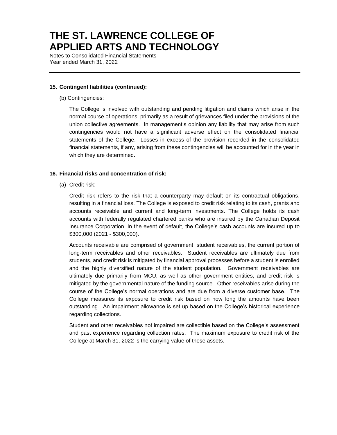Notes to Consolidated Financial Statements Year ended March 31, 2022

#### **15. Contingent liabilities (continued):**

(b) Contingencies:

The College is involved with outstanding and pending litigation and claims which arise in the normal course of operations, primarily as a result of grievances filed under the provisions of the union collective agreements. In management's opinion any liability that may arise from such contingencies would not have a significant adverse effect on the consolidated financial statements of the College. Losses in excess of the provision recorded in the consolidated financial statements, if any, arising from these contingencies will be accounted for in the year in which they are determined.

#### **16. Financial risks and concentration of risk:**

(a) Credit risk:

Credit risk refers to the risk that a counterparty may default on its contractual obligations, resulting in a financial loss. The College is exposed to credit risk relating to its cash, grants and accounts receivable and current and long-term investments. The College holds its cash accounts with federally regulated chartered banks who are insured by the Canadian Deposit Insurance Corporation. In the event of default, the College's cash accounts are insured up to \$300,000 (2021 - \$300,000).

Accounts receivable are comprised of government, student receivables, the current portion of long-term receivables and other receivables. Student receivables are ultimately due from students, and credit risk is mitigated by financial approval processes before a student is enrolled and the highly diversified nature of the student population. Government receivables are ultimately due primarily from MCU, as well as other government entities, and credit risk is mitigated by the governmental nature of the funding source. Other receivables arise during the course of the College's normal operations and are due from a diverse customer base. The College measures its exposure to credit risk based on how long the amounts have been outstanding. An impairment allowance is set up based on the College's historical experience regarding collections.

Student and other receivables not impaired are collectible based on the College's assessment and past experience regarding collection rates. The maximum exposure to credit risk of the College at March 31, 2022 is the carrying value of these assets.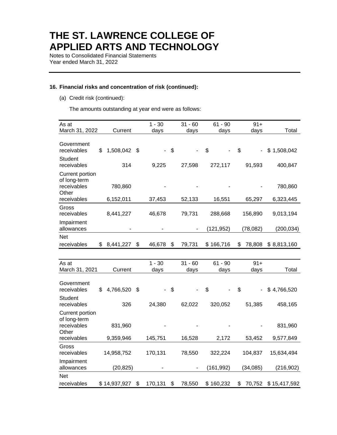Notes to Consolidated Financial Statements Year ended March 31, 2022

#### **16. Financial risks and concentration of risk (continued):**

(a) Credit risk (continued):

The amounts outstanding at year end were as follows:

| As at<br>March 31, 2022                                                | Current              |                           | $1 - 30$<br>days | $31 - 60$<br>days | $61 - 90$<br>days | $91 +$<br>days                 | Total                |
|------------------------------------------------------------------------|----------------------|---------------------------|------------------|-------------------|-------------------|--------------------------------|----------------------|
|                                                                        |                      |                           |                  |                   |                   |                                |                      |
| Government<br>receivables                                              | \$<br>1,508,042 \$   |                           |                  | \$                | \$                | \$                             | \$1,508,042          |
| <b>Student</b><br>receivables                                          | 314                  |                           | 9,225            | 27,598            | 272,117           | 91,593                         | 400,847              |
| Current portion<br>of long-term<br>receivables<br>Other<br>receivables | 780,860<br>6,152,011 |                           | 37,453           | 52,133            | 16,551            | 65,297                         | 780,860<br>6,323,445 |
| Gross                                                                  |                      |                           |                  |                   |                   |                                |                      |
| receivables                                                            | 8,441,227            |                           | 46,678           | 79,731            | 288,668           | 156,890                        | 9,013,194            |
| Impairment<br>allowances                                               |                      |                           |                  |                   | (121, 952)        | (78,082)                       | (200, 034)           |
| <b>Net</b>                                                             |                      |                           |                  |                   |                   |                                |                      |
| receivables                                                            | \$8,441,227          | \$                        | 46,678           | \$<br>79,731      | \$166,716         | S<br>78,808                    | \$8,813,160          |
|                                                                        |                      |                           |                  |                   |                   |                                |                      |
| As at<br>March 31, 2021                                                | Current              |                           | $1 - 30$<br>days | $31 - 60$<br>days | $61 - 90$<br>days | $91 +$<br>days                 | Total                |
| Government<br>receivables                                              | \$<br>4,766,520      | $\boldsymbol{\mathsf{S}}$ |                  | \$                | \$                | \$<br>$\overline{\phantom{0}}$ | \$4,766,520          |
| Student<br>receivables                                                 | 326                  |                           | 24,380           | 62,022            | 320,052           | 51,385                         | 458,165              |
| Current portion<br>of long-term<br>receivables<br>Other                | 831,960              |                           |                  |                   |                   |                                | 831,960              |
| receivables                                                            | 9,359,946            |                           | 145,751          | 16,528            | 2,172             | 53,452                         | 9,577,849            |
| Gross<br>receivables                                                   | 14,958,752           |                           | 170,131          | 78,550            | 322,224           | 104,837                        | 15,634,494           |
| Impairment<br>allowances                                               | (20, 825)            |                           |                  |                   | (161, 992)        | (34,085)                       | (216, 902)           |
| <b>Net</b>                                                             |                      |                           |                  |                   |                   |                                |                      |
| receivables                                                            | \$14,937,927         | \$                        | 170,131          | \$<br>78,550      | \$160,232         | \$<br>70,752                   | \$15,417,592         |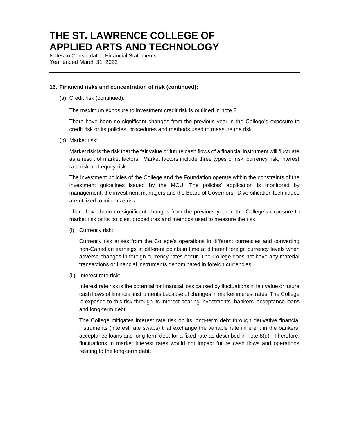Notes to Consolidated Financial Statements Year ended March 31, 2022

#### **16. Financial risks and concentration of risk (continued):**

(a) Credit risk (continued):

The maximum exposure to investment credit risk is outlined in note 2.

There have been no significant changes from the previous year in the College's exposure to credit risk or its policies, procedures and methods used to measure the risk.

(b) Market risk:

Market risk is the risk that the fair value or future cash flows of a financial instrument will fluctuate as a result of market factors. Market factors include three types of risk: currency risk, interest rate risk and equity risk.

The investment policies of the College and the Foundation operate within the constraints of the investment guidelines issued by the MCU. The policies' application is monitored by management, the investment managers and the Board of Governors. Diversification techniques are utilized to minimize risk.

There have been no significant changes from the previous year in the College's exposure to market risk or its policies, procedures and methods used to measure the risk.

(i) Currency risk:

Currency risk arises from the College's operations in different currencies and converting non-Canadian earnings at different points in time at different foreign currency levels when adverse changes in foreign currency rates occur. The College does not have any material transactions or financial instruments denominated in foreign currencies.

(ii) Interest rate risk:

Interest rate risk is the potential for financial loss caused by fluctuations in fair value or future cash flows of financial instruments because of changes in market interest rates. The College is exposed to this risk through its interest bearing investments, bankers' acceptance loans and long-term debt.

The College mitigates interest rate risk on its long-term debt through derivative financial instruments (interest rate swaps) that exchange the variable rate inherent in the bankers' acceptance loans and long-term debt for a fixed rate as described in note 8(d). Therefore, fluctuations in market interest rates would not impact future cash flows and operations relating to the long-term debt.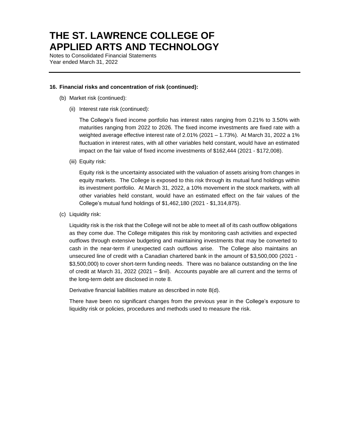Notes to Consolidated Financial Statements Year ended March 31, 2022

#### **16. Financial risks and concentration of risk (continued):**

- (b) Market risk (continued):
	- (ii) Interest rate risk (continued):

The College's fixed income portfolio has interest rates ranging from 0.21% to 3.50% with maturities ranging from 2022 to 2026. The fixed income investments are fixed rate with a weighted average effective interest rate of 2.01% (2021 – 1.73%). At March 31, 2022 a 1% fluctuation in interest rates, with all other variables held constant, would have an estimated impact on the fair value of fixed income investments of \$162,444 (2021 - \$172,008).

(iii) Equity risk:

Equity risk is the uncertainty associated with the valuation of assets arising from changes in equity markets. The College is exposed to this risk through its mutual fund holdings within its investment portfolio. At March 31, 2022, a 10% movement in the stock markets, with all other variables held constant, would have an estimated effect on the fair values of the College's mutual fund holdings of \$1,462,180 (2021 - \$1,314,875).

(c) Liquidity risk:

Liquidity risk is the risk that the College will not be able to meet all of its cash outflow obligations as they come due. The College mitigates this risk by monitoring cash activities and expected outflows through extensive budgeting and maintaining investments that may be converted to cash in the near-term if unexpected cash outflows arise. The College also maintains an unsecured line of credit with a Canadian chartered bank in the amount of \$3,500,000 (2021 - \$3,500,000) to cover short-term funding needs. There was no balance outstanding on the line of credit at March 31, 2022 (2021 – \$nil). Accounts payable are all current and the terms of the long-term debt are disclosed in note 8.

Derivative financial liabilities mature as described in note 8(d).

There have been no significant changes from the previous year in the College's exposure to liquidity risk or policies, procedures and methods used to measure the risk.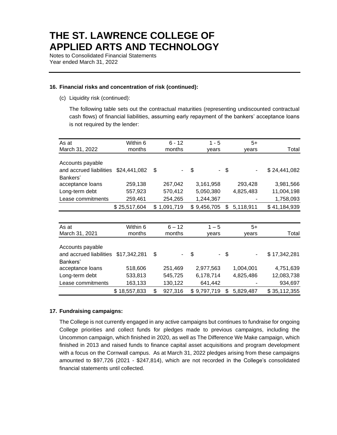Notes to Consolidated Financial Statements Year ended March 31, 2022

#### **16. Financial risks and concentration of risk (continued):**

(c) Liquidity risk (continued):

The following table sets out the contractual maturities (representing undiscounted contractual cash flows) of financial liabilities, assuming early repayment of the bankers' acceptance loans is not required by the lender:

| As at                   | Within 6     | $6 - 12$      | $1 - 5$     | $5+$            |              |
|-------------------------|--------------|---------------|-------------|-----------------|--------------|
| March 31, 2022          | months       | months        | years       | years           | Total        |
|                         |              |               |             |                 |              |
| Accounts payable        |              |               |             |                 |              |
| and accrued liabilities | \$24,441,082 | \$            | \$          | \$              | \$24,441,082 |
| Bankers'                |              |               |             |                 |              |
| acceptance loans        | 259,138      | 267,042       | 3,161,958   | 293,428         | 3,981,566    |
| Long-term debt          | 557,923      | 570,412       | 5,050,380   | 4,825,483       | 11,004,198   |
| Lease commitments       | 259,461      | 254,265       | 1,244,367   |                 | 1,758,093    |
|                         | \$25,517,604 | \$1,091,719   | \$9,456,705 | \$<br>5,118,911 | \$41,184,939 |
|                         |              |               |             |                 |              |
| As at                   | Within 6     | $6 - 12$      | $1 - 5$     | $5+$            |              |
| March 31, 2021          | months       | months        | years       | years           | Total        |
| Accounts payable        |              |               |             |                 |              |
| and accrued liabilities | \$17,342,281 | \$            | \$          | \$              | \$17,342,281 |
| Bankers'                |              |               |             |                 |              |
| acceptance loans        | 518,606      | 251,469       | 2,977,563   | 1,004,001       | 4,751,639    |
| Long-term debt          | 533,813      | 545,725       | 6,178,714   | 4,825,486       | 12,083,738   |
| Lease commitments       | 163,133      | 130,122       | 641,442     |                 | 934,697      |
|                         | \$18,557,833 | \$<br>927,316 | \$9,797,719 | \$<br>5,829,487 | \$35,112,355 |

#### **17. Fundraising campaigns:**

The College is not currently engaged in any active campaigns but continues to fundraise for ongoing College priorities and collect funds for pledges made to previous campaigns, including the Uncommon campaign, which finished in 2020, as well as The Difference We Make campaign, which finished in 2013 and raised funds to finance capital asset acquisitions and program development with a focus on the Cornwall campus. As at March 31, 2022 pledges arising from these campaigns amounted to \$97,726 (2021 - \$247,814), which are not recorded in the College's consolidated financial statements until collected.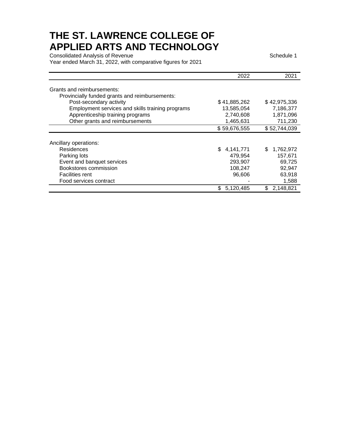Consolidated Analysis of Revenue Schedule 1 and 2008 and 2009 and 2009 and 2009 and 2009 and 2009 and 2009 and Year ended March 31, 2022, with comparative figures for 2021

|                                                  | 2022             | 2021             |
|--------------------------------------------------|------------------|------------------|
| Grants and reimbursements:                       |                  |                  |
| Provincially funded grants and reimbursements:   |                  |                  |
|                                                  |                  |                  |
| Post-secondary activity                          | \$41,885,262     | \$42,975,336     |
| Employment services and skills training programs | 13,585,054       | 7,186,377        |
| Apprenticeship training programs                 | 2,740,608        | 1,871,096        |
| Other grants and reimbursements                  | 1,465,631        | 711,230          |
|                                                  | \$59,676,555     | \$52,744,039     |
|                                                  |                  |                  |
| Ancillary operations:                            |                  |                  |
| Residences                                       | 4,141,771<br>\$. | 1,762,972<br>S   |
| Parking lots                                     | 479,954          | 157,671          |
| Event and banquet services                       | 293,907          | 69,725           |
| Bookstores commission                            | 108,247          | 92,947           |
| <b>Facilities rent</b>                           | 96,606           | 63,918           |
| Food services contract                           |                  | 1,588            |
|                                                  | \$.<br>5,120,485 | 2,148,821<br>\$. |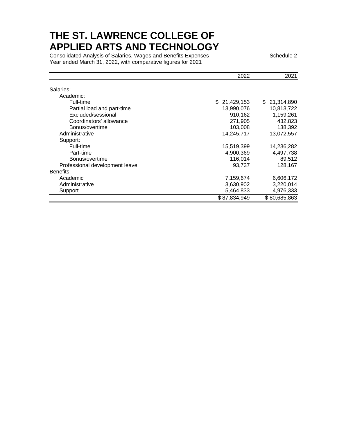Consolidated Analysis of Salaries, Wages and Benefits Expenses Salam Schedule 2 Year ended March 31, 2022, with comparative figures for 2021

|                                | 2022         | 2021             |
|--------------------------------|--------------|------------------|
| Salaries:                      |              |                  |
| Academic:                      |              |                  |
| Full-time                      | \$21,429,153 | 21,314,890<br>\$ |
| Partial load and part-time     | 13,990,076   | 10,813,722       |
| Excluded/sessional             | 910,162      | 1,159,261        |
| Coordinators' allowance        | 271,905      | 432,823          |
| Bonus/overtime                 | 103,008      | 138,392          |
| Administrative                 | 14.245.717   | 13,072,557       |
| Support:                       |              |                  |
| Full-time                      | 15,519,399   | 14,236,282       |
| Part-time                      | 4,900,369    | 4,497,738        |
| Bonus/overtime                 | 116,014      | 89,512           |
| Professional development leave | 93.737       | 128,167          |
| Benefits:                      |              |                  |
| Academic                       | 7,159,674    | 6,606,172        |
| Administrative                 | 3,630,902    | 3,220,014        |
| Support                        | 5,464,833    | 4,976,333        |
|                                | \$87,834,949 | \$80,685,863     |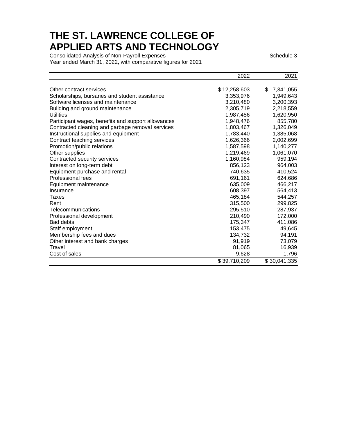Consolidated Analysis of Non-Payroll Expenses Schedule 3 Schedule 3 Year ended March 31, 2022, with comparative figures for 2021

|                                                    | 2022         | 2021            |
|----------------------------------------------------|--------------|-----------------|
| Other contract services                            | \$12,258,603 | \$<br>7,341,055 |
| Scholarships, bursaries and student assistance     | 3,353,976    | 1,949,643       |
| Software licenses and maintenance                  | 3,210,480    | 3,200,393       |
| Building and ground maintenance                    | 2,305,719    | 2,218,559       |
| <b>Utilities</b>                                   | 1,987,456    | 1,620,950       |
| Participant wages, benefits and support allowances | 1,948,476    | 855,780         |
| Contracted cleaning and garbage removal services   | 1,803,467    | 1,326,049       |
| Instructional supplies and equipment               | 1,783,440    | 1,385,068       |
| Contract teaching services                         | 1,626,366    | 2,002,699       |
| Promotion/public relations                         | 1,587,598    | 1,140,277       |
| Other supplies                                     | 1,219,469    | 1,061,070       |
| Contracted security services                       | 1,160,984    | 959,194         |
| Interest on long-term debt                         | 856,123      | 964,003         |
| Equipment purchase and rental                      | 740,635      | 410,524         |
| Professional fees                                  | 691,161      | 624,686         |
| Equipment maintenance                              | 635,009      | 466,217         |
| Insurance                                          | 608,397      | 564,413         |
| Taxes                                              | 465,184      | 544,257         |
| Rent                                               | 315,500      | 299,825         |
| Telecommunications                                 | 295,510      | 287,937         |
| Professional development                           | 210,490      | 172,000         |
| <b>Bad debts</b>                                   | 175,347      | 411,086         |
| Staff employment                                   | 153,475      | 49,645          |
| Membership fees and dues                           | 134,732      | 94,191          |
| Other interest and bank charges                    | 91,919       | 73,079          |
| Travel                                             | 81,065       | 16,939          |
| Cost of sales                                      | 9,628        | 1,796           |
|                                                    | \$39,710,209 | \$30,041,335    |